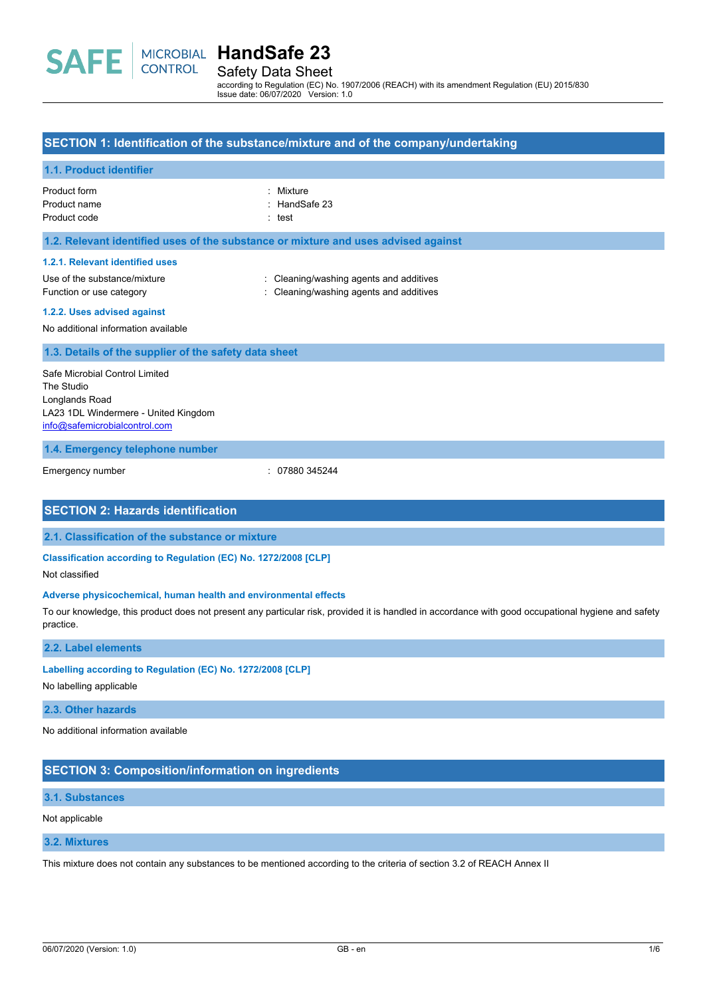Safety Data Sheet according to Regulation (EC) No. 1907/2006 (REACH) with its amendment Regulation (EU) 2015/830

Issue date: 06/07/2020 Version: 1.0

## **SECTION 1: Identification of the substance/mixture and of the company/undertaking**

### **1.1. Product identifier**

Product form **: Mixture** Product name : HandSafe 23

Product code : test

### **1.2. Relevant identified uses of the substance or mixture and uses advised against**

#### **1.2.1. Relevant identified uses**

Use of the substance/mixture in the substance/mixture in the substance of the substance of the substance of the substance of the substance of the substance of the substance of the substance of the substance of the substanc Function or use category **interpretice and according** cleaning/washing agents and additives

#### **1.2.2. Uses advised against**

No additional information available

#### **1.3. Details of the supplier of the safety data sheet**

Safe Microbial Control Limited The Studio Longlands Road LA23 1DL Windermere - United Kingdom [info@safemicrobialcontrol.com](mailto:info@safemicrobialcontrol.com)

#### **1.4. Emergency telephone number**

Emergency number : 07880 345244

## **SECTION 2: Hazards identification**

#### **2.1. Classification of the substance or mixture**

**Classification according to Regulation (EC) No. 1272/2008 [CLP]**

Not classified

#### **Adverse physicochemical, human health and environmental effects**

To our knowledge, this product does not present any particular risk, provided it is handled in accordance with good occupational hygiene and safety practice.

#### **2.2. Label elements**

#### **Labelling according to Regulation (EC) No. 1272/2008 [CLP]**

No labelling applicable

### **2.3. Other hazards**

No additional information available

## **SECTION 3: Composition/information on ingredients**

## **3.1. Substances**

#### Not applicable

## **3.2. Mixtures**

This mixture does not contain any substances to be mentioned according to the criteria of section 3.2 of REACH Annex II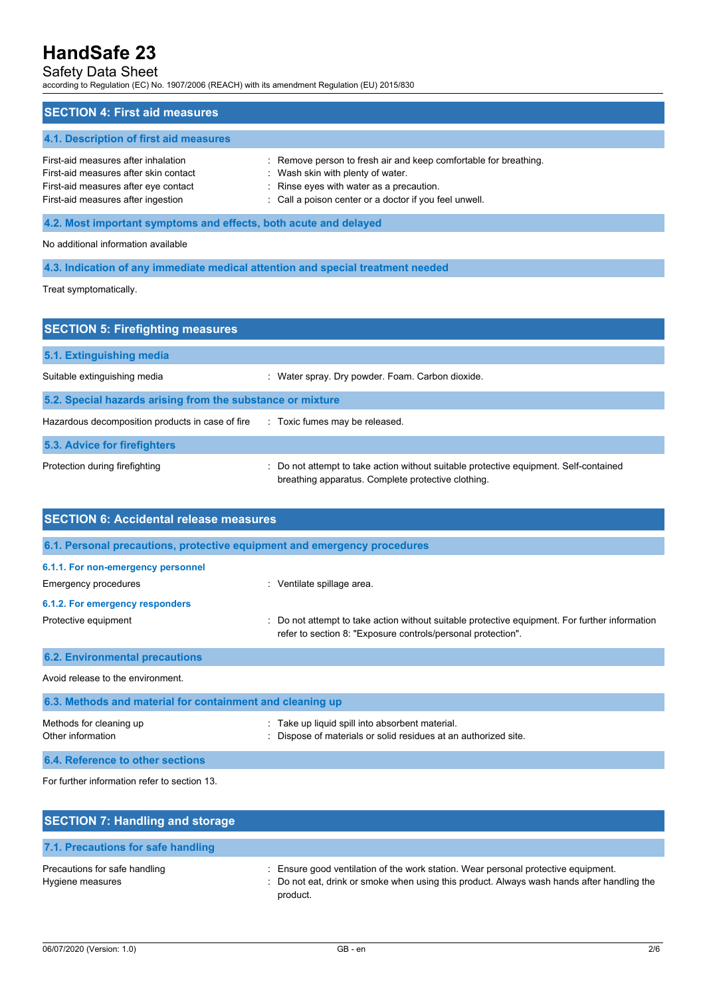## Safety Data Sheet

according to Regulation (EC) No. 1907/2006 (REACH) with its amendment Regulation (EU) 2015/830

| <b>SECTION 4: First aid measures</b>                                                                                                                       |                                                                                                                                                                                                             |  |
|------------------------------------------------------------------------------------------------------------------------------------------------------------|-------------------------------------------------------------------------------------------------------------------------------------------------------------------------------------------------------------|--|
| 4.1. Description of first aid measures                                                                                                                     |                                                                                                                                                                                                             |  |
| First-aid measures after inhalation<br>First-aid measures after skin contact<br>First-aid measures after eye contact<br>First-aid measures after ingestion | : Remove person to fresh air and keep comfortable for breathing.<br>: Wash skin with plenty of water.<br>: Rinse eyes with water as a precaution.<br>: Call a poison center or a doctor if you feel unwell. |  |
| 4.2. Most important symptoms and effects, both acute and delayed                                                                                           |                                                                                                                                                                                                             |  |

No additional information available

**4.3. Indication of any immediate medical attention and special treatment needed**

Treat symptomatically.

| <b>SECTION 5: Firefighting measures</b>                    |                                                                                                                                           |  |  |  |
|------------------------------------------------------------|-------------------------------------------------------------------------------------------------------------------------------------------|--|--|--|
| 5.1. Extinguishing media                                   |                                                                                                                                           |  |  |  |
| Suitable extinguishing media                               | Water spray. Dry powder. Foam. Carbon dioxide.                                                                                            |  |  |  |
| 5.2. Special hazards arising from the substance or mixture |                                                                                                                                           |  |  |  |
| Hazardous decomposition products in case of fire           | : Toxic fumes may be released.                                                                                                            |  |  |  |
| 5.3. Advice for firefighters                               |                                                                                                                                           |  |  |  |
| Protection during firefighting                             | Do not attempt to take action without suitable protective equipment. Self-contained<br>breathing apparatus. Complete protective clothing. |  |  |  |

| <b>SECTION 6: Accidental release measures</b>                            |                                                                                                                                                                |  |  |
|--------------------------------------------------------------------------|----------------------------------------------------------------------------------------------------------------------------------------------------------------|--|--|
| 6.1. Personal precautions, protective equipment and emergency procedures |                                                                                                                                                                |  |  |
| 6.1.1. For non-emergency personnel<br>Emergency procedures               | : Ventilate spillage area.                                                                                                                                     |  |  |
| 6.1.2. For emergency responders<br>Protective equipment                  | : Do not attempt to take action without suitable protective equipment. For further information<br>refer to section 8: "Exposure controls/personal protection". |  |  |
| <b>6.2. Environmental precautions</b>                                    |                                                                                                                                                                |  |  |
| Avoid release to the environment.                                        |                                                                                                                                                                |  |  |
| 6.3. Methods and material for containment and cleaning up                |                                                                                                                                                                |  |  |
| Methods for cleaning up<br>Other information                             | Take up liquid spill into absorbent material.<br>Dispose of materials or solid residues at an authorized site.                                                 |  |  |

**6.4. Reference to other sections**

For further information refer to section 13.

| <b>SECTION 7: Handling and storage</b>            |                                                                                                                                                                                              |
|---------------------------------------------------|----------------------------------------------------------------------------------------------------------------------------------------------------------------------------------------------|
| 7.1. Precautions for safe handling                |                                                                                                                                                                                              |
| Precautions for safe handling<br>Hygiene measures | : Ensure good ventilation of the work station. Wear personal protective equipment.<br>: Do not eat, drink or smoke when using this product. Always wash hands after handling the<br>product. |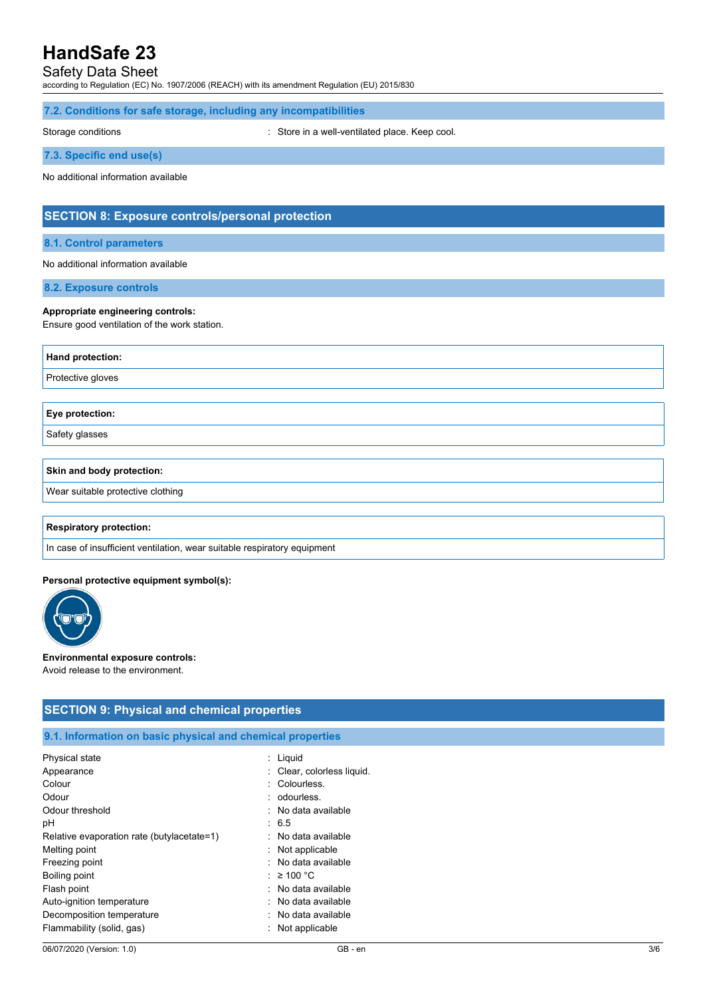## Safety Data Sheet

according to Regulation (EC) No. 1907/2006 (REACH) with its amendment Regulation (EU) 2015/830

#### **7.2. Conditions for safe storage, including any incompatibilities**

Storage conditions : Store in a well-ventilated place. Keep cool.

**7.3. Specific end use(s)**

No additional information available

## **SECTION 8: Exposure controls/personal protection**

#### **8.1. Control parameters**

#### No additional information available

**8.2. Exposure controls**

#### **Appropriate engineering controls:**

Ensure good ventilation of the work station.

| <b>Hand protection:</b> |  |
|-------------------------|--|
| Protective gloves       |  |
|                         |  |
|                         |  |
| Eye protection:         |  |
| Safety glasses          |  |

#### **Skin and body protection:**

Wear suitable protective clothing

#### **Respiratory protection:**

In case of insufficient ventilation, wear suitable respiratory equipment

#### **Personal protective equipment symbol(s):**



#### **Environmental exposure controls:**

Avoid release to the environment.

## **SECTION 9: Physical and chemical properties**

#### **9.1. Information on basic physical and chemical properties**

| Physical state                             | : Liquid                   |
|--------------------------------------------|----------------------------|
| Appearance                                 | : Clear, colorless liquid. |
| Colour                                     | : Colourless.              |
| Odour                                      | : odourless.               |
| Odour threshold                            | : No data available        |
| рH                                         | : 6.5                      |
| Relative evaporation rate (butylacetate=1) | : No data available        |
| Melting point                              | $:$ Not applicable         |
| Freezing point                             | : No data available        |
| Boiling point                              | : $\geq 100$ °C            |
| Flash point                                | : No data available        |
| Auto-ignition temperature                  | : No data available        |
| Decomposition temperature                  | $:$ No data available      |
| Flammability (solid, gas)                  | : Not applicable           |
|                                            |                            |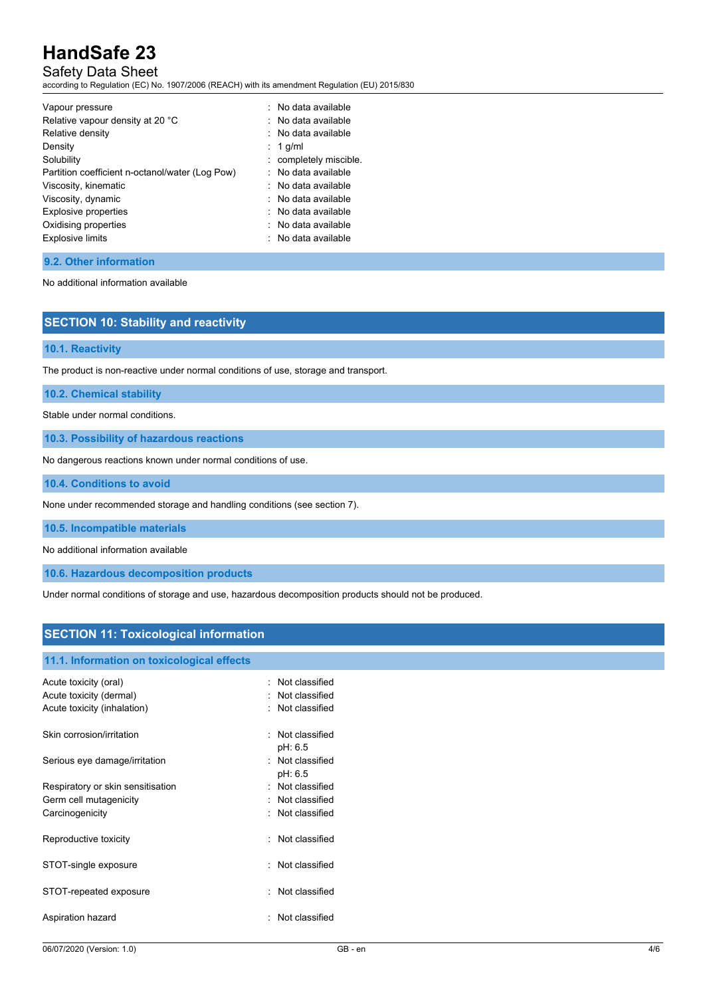## Safety Data Sheet

according to Regulation (EC) No. 1907/2006 (REACH) with its amendment Regulation (EU) 2015/830

| Vapour pressure                                 | $:$ No data available  |
|-------------------------------------------------|------------------------|
| Relative vapour density at 20 °C                | : No data available    |
| Relative density                                | $:$ No data available  |
| Density                                         | $: 1$ g/ml             |
| Solubility                                      | : completely miscible. |
| Partition coefficient n-octanol/water (Log Pow) | : No data available    |
| Viscosity, kinematic                            | $:$ No data available  |
| Viscosity, dynamic                              | $:$ No data available  |
| <b>Explosive properties</b>                     | . No data available    |
| Oxidising properties                            | $:$ No data available  |
| <b>Explosive limits</b>                         | $:$ No data available  |
|                                                 |                        |

#### **9.2. Other information**

No additional information available

## **SECTION 10: Stability and reactivity**

#### **10.1. Reactivity**

The product is non-reactive under normal conditions of use, storage and transport.

**10.2. Chemical stability**

Stable under normal conditions.

**10.3. Possibility of hazardous reactions**

No dangerous reactions known under normal conditions of use.

**10.4. Conditions to avoid**

None under recommended storage and handling conditions (see section 7).

**10.5. Incompatible materials**

No additional information available

**10.6. Hazardous decomposition products**

Under normal conditions of storage and use, hazardous decomposition products should not be produced.

## **SECTION 11: Toxicological information**

| 11.1. Information on toxicological effects                                      |                                                      |
|---------------------------------------------------------------------------------|------------------------------------------------------|
| Acute toxicity (oral)<br>Acute toxicity (dermal)<br>Acute toxicity (inhalation) | Not classified<br>Not classified<br>: Not classified |
| Skin corrosion/irritation                                                       | Not classified<br>pH: 6.5                            |
| Serious eye damage/irritation                                                   | Not classified<br>pH: 6.5                            |
| Respiratory or skin sensitisation                                               | Not classified                                       |
| Germ cell mutagenicity                                                          | Not classified                                       |
| Carcinogenicity                                                                 | : Not classified                                     |
| Reproductive toxicity                                                           | Not classified                                       |
| STOT-single exposure                                                            | Not classified                                       |
| STOT-repeated exposure                                                          | Not classified                                       |
| Aspiration hazard                                                               | Not classified                                       |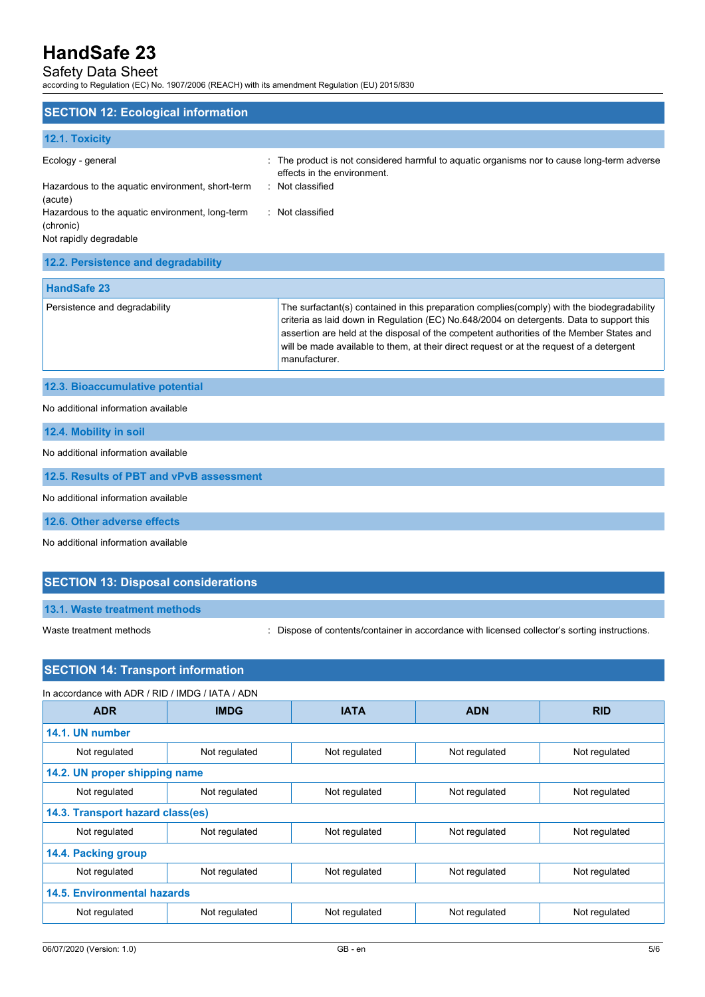## Safety Data Sheet

according to Regulation (EC) No. 1907/2006 (REACH) with its amendment Regulation (EU) 2015/830

| <b>SECTION 12: Ecological information</b>                                              |                                                                                                                                                                                                                                                                                                                                                                                                 |
|----------------------------------------------------------------------------------------|-------------------------------------------------------------------------------------------------------------------------------------------------------------------------------------------------------------------------------------------------------------------------------------------------------------------------------------------------------------------------------------------------|
| 12.1. Toxicity                                                                         |                                                                                                                                                                                                                                                                                                                                                                                                 |
| Ecology - general<br>Hazardous to the aquatic environment, short-term<br>(acute)       | The product is not considered harmful to aquatic organisms nor to cause long-term adverse<br>effects in the environment.<br>: Not classified                                                                                                                                                                                                                                                    |
| Hazardous to the aquatic environment, long-term<br>(chronic)<br>Not rapidly degradable | : Not classified                                                                                                                                                                                                                                                                                                                                                                                |
| 12.2. Persistence and degradability                                                    |                                                                                                                                                                                                                                                                                                                                                                                                 |
| <b>HandSafe 23</b>                                                                     |                                                                                                                                                                                                                                                                                                                                                                                                 |
| Persistence and degradability                                                          | The surfactant(s) contained in this preparation complies(comply) with the biodegradability<br>criteria as laid down in Regulation (EC) No.648/2004 on detergents. Data to support this<br>assertion are held at the disposal of the competent authorities of the Member States and<br>will be made available to them, at their direct request or at the request of a detergent<br>manufacturer. |
| 12.3. Bioaccumulative potential                                                        |                                                                                                                                                                                                                                                                                                                                                                                                 |
| No additional information available                                                    |                                                                                                                                                                                                                                                                                                                                                                                                 |
| 12.4. Mobility in soil                                                                 |                                                                                                                                                                                                                                                                                                                                                                                                 |

No additional information available

**12.5. Results of PBT and vPvB assessment**

No additional information available

**12.6. Other adverse effects**

No additional information available

## **SECTION 13: Disposal considerations**

**13.1. Waste treatment methods**

Waste treatment methods : Dispose of contents/container in accordance with licensed collector's sorting instructions.

## **SECTION 14: Transport information**

| In accordance with ADR / RID / IMDG / IATA / ADN |               |               |               |               |
|--------------------------------------------------|---------------|---------------|---------------|---------------|
| <b>ADR</b>                                       | <b>IMDG</b>   | <b>IATA</b>   | <b>ADN</b>    | <b>RID</b>    |
| 14.1. UN number                                  |               |               |               |               |
| Not regulated                                    | Not regulated | Not regulated | Not regulated | Not regulated |
| 14.2. UN proper shipping name                    |               |               |               |               |
| Not regulated                                    | Not regulated | Not regulated | Not regulated | Not regulated |
| 14.3. Transport hazard class(es)                 |               |               |               |               |
| Not regulated                                    | Not regulated | Not regulated | Not regulated | Not regulated |
| 14.4. Packing group                              |               |               |               |               |
| Not regulated                                    | Not regulated | Not regulated | Not regulated | Not regulated |
| <b>14.5. Environmental hazards</b>               |               |               |               |               |
| Not regulated                                    | Not regulated | Not regulated | Not regulated | Not regulated |